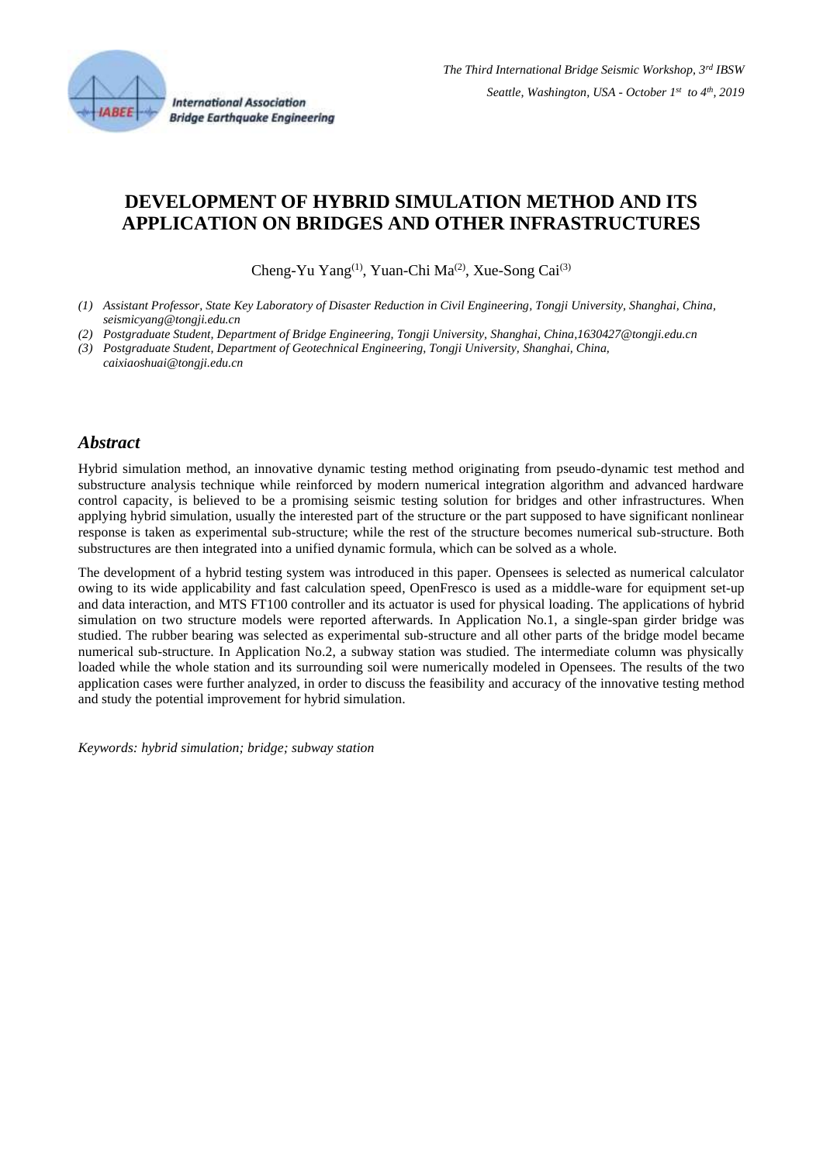

**International Association Bridge Earthquake Engineering** 

# **DEVELOPMENT OF HYBRID SIMULATION METHOD AND ITS APPLICATION ON BRIDGES AND OTHER INFRASTRUCTURES**

Cheng-Yu Yang<sup>(1)</sup>, Yuan-Chi Ma<sup>(2)</sup>, Xue-Song Cai<sup>(3)</sup>

- *(1) Assistant Professor, State Key Laboratory of Disaster Reduction in Civil Engineering, Tongji University, Shanghai, China, seismicyang@tongji.edu.cn*
- *(2) Postgraduate Student, Department of Bridge Engineering, Tongji University, Shanghai, China,1630427@tongji.edu.cn*
- *(3) Postgraduate Student, Department of Geotechnical Engineering, Tongji University, Shanghai, China,*
- *caixiaoshuai@tongji.edu.cn*

#### *Abstract*

Hybrid simulation method, an innovative dynamic testing method originating from pseudo-dynamic test method and substructure analysis technique while reinforced by modern numerical integration algorithm and advanced hardware control capacity, is believed to be a promising seismic testing solution for bridges and other infrastructures. When applying hybrid simulation, usually the interested part of the structure or the part supposed to have significant nonlinear response is taken as experimental sub-structure; while the rest of the structure becomes numerical sub-structure. Both substructures are then integrated into a unified dynamic formula, which can be solved as a whole.

The development of a hybrid testing system was introduced in this paper. Opensees is selected as numerical calculator owing to its wide applicability and fast calculation speed, OpenFresco is used as a middle-ware for equipment set-up and data interaction, and MTS FT100 controller and its actuator is used for physical loading. The applications of hybrid simulation on two structure models were reported afterwards. In Application No.1, a single-span girder bridge was studied. The rubber bearing was selected as experimental sub-structure and all other parts of the bridge model became numerical sub-structure. In Application No.2, a subway station was studied. The intermediate column was physically loaded while the whole station and its surrounding soil were numerically modeled in Opensees. The results of the two application cases were further analyzed, in order to discuss the feasibility and accuracy of the innovative testing method and study the potential improvement for hybrid simulation.

*Keywords: hybrid simulation; bridge; subway station*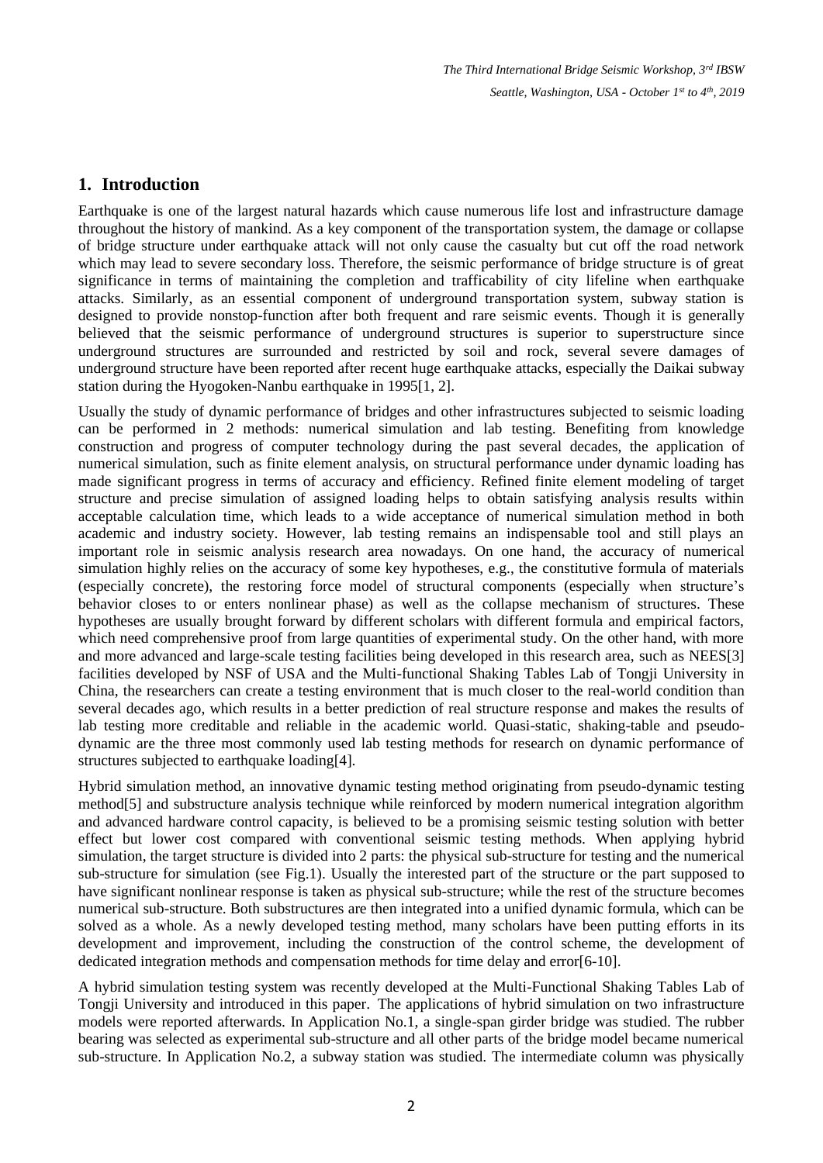### **1. Introduction**

Earthquake is one of the largest natural hazards which cause numerous life lost and infrastructure damage throughout the history of mankind. As a key component of the transportation system, the damage or collapse of bridge structure under earthquake attack will not only cause the casualty but cut off the road network which may lead to severe secondary loss. Therefore, the seismic performance of bridge structure is of great significance in terms of maintaining the completion and trafficability of city lifeline when earthquake attacks. Similarly, as an essential component of underground transportation system, subway station is designed to provide nonstop-function after both frequent and rare seismic events. Though it is generally believed that the seismic performance of underground structures is superior to superstructure since underground structures are surrounded and restricted by soil and rock, several severe damages of underground structure have been reported after recent huge earthquake attacks, especially the Daikai subway station during the Hyogoken-Nanbu earthquake in 1995[1, 2].

Usually the study of dynamic performance of bridges and other infrastructures subjected to seismic loading can be performed in 2 methods: numerical simulation and lab testing. Benefiting from knowledge construction and progress of computer technology during the past several decades, the application of numerical simulation, such as finite element analysis, on structural performance under dynamic loading has made significant progress in terms of accuracy and efficiency. Refined finite element modeling of target structure and precise simulation of assigned loading helps to obtain satisfying analysis results within acceptable calculation time, which leads to a wide acceptance of numerical simulation method in both academic and industry society. However, lab testing remains an indispensable tool and still plays an important role in seismic analysis research area nowadays. On one hand, the accuracy of numerical simulation highly relies on the accuracy of some key hypotheses, e.g., the constitutive formula of materials (especially concrete), the restoring force model of structural components (especially when structure's behavior closes to or enters nonlinear phase) as well as the collapse mechanism of structures. These hypotheses are usually brought forward by different scholars with different formula and empirical factors, which need comprehensive proof from large quantities of experimental study. On the other hand, with more and more advanced and large-scale testing facilities being developed in this research area, such as NEES[3] facilities developed by NSF of USA and the Multi-functional Shaking Tables Lab of Tongji University in China, the researchers can create a testing environment that is much closer to the real-world condition than several decades ago, which results in a better prediction of real structure response and makes the results of lab testing more creditable and reliable in the academic world. Quasi-static, shaking-table and pseudodynamic are the three most commonly used lab testing methods for research on dynamic performance of structures subjected to earthquake loading[4].

Hybrid simulation method, an innovative dynamic testing method originating from pseudo-dynamic testing method[5] and substructure analysis technique while reinforced by modern numerical integration algorithm and advanced hardware control capacity, is believed to be a promising seismic testing solution with better effect but lower cost compared with conventional seismic testing methods. When applying hybrid simulation, the target structure is divided into 2 parts: the physical sub-structure for testing and the numerical sub-structure for simulation (see Fig.1). Usually the interested part of the structure or the part supposed to have significant nonlinear response is taken as physical sub-structure; while the rest of the structure becomes numerical sub-structure. Both substructures are then integrated into a unified dynamic formula, which can be solved as a whole. As a newly developed testing method, many scholars have been putting efforts in its development and improvement, including the construction of the control scheme, the development of dedicated integration methods and compensation methods for time delay and error[6-10].

A hybrid simulation testing system was recently developed at the Multi-Functional Shaking Tables Lab of Tongji University and introduced in this paper. The applications of hybrid simulation on two infrastructure models were reported afterwards. In Application No.1, a single-span girder bridge was studied. The rubber bearing was selected as experimental sub-structure and all other parts of the bridge model became numerical sub-structure. In Application No.2, a subway station was studied. The intermediate column was physically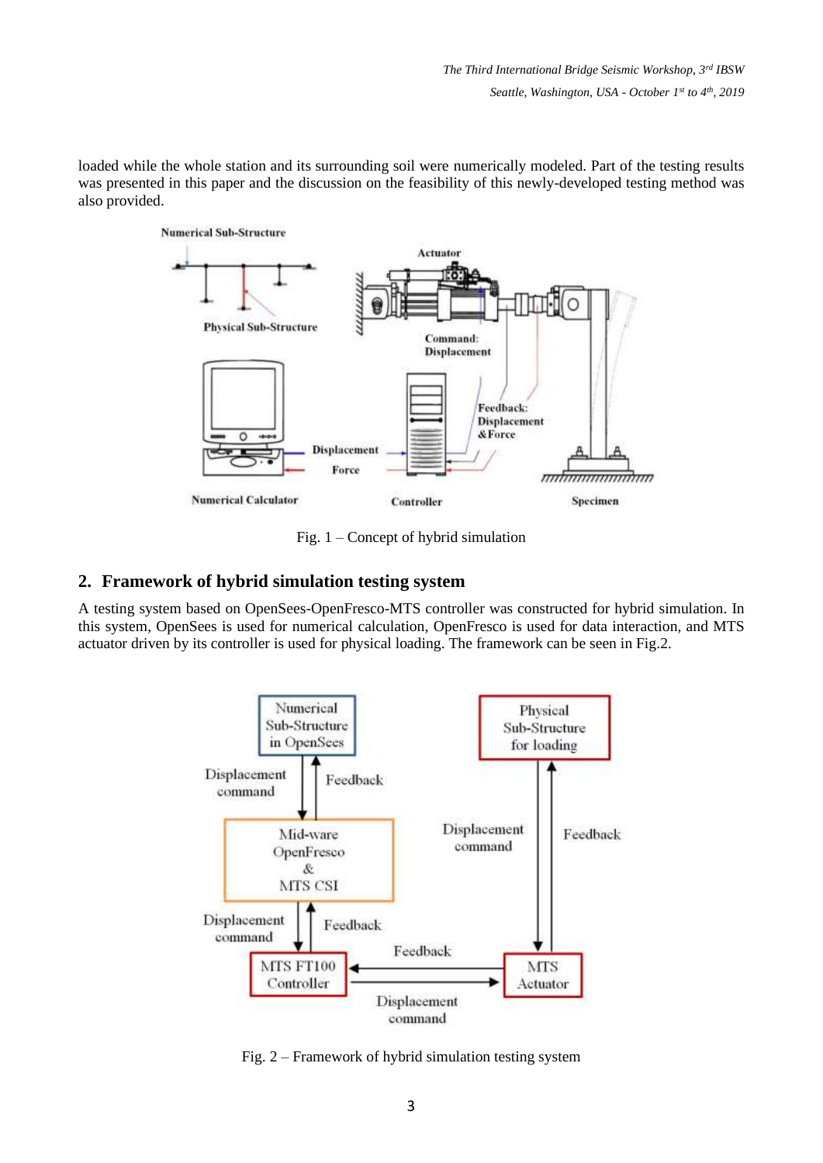loaded while the whole station and its surrounding soil were numerically modeled. Part of the testing results was presented in this paper and the discussion on the feasibility of this newly-developed testing method was also provided.



Fig. 1 – Concept of hybrid simulation

#### **2. Framework of hybrid simulation testing system**

A testing system based on OpenSees-OpenFresco-MTS controller was constructed for hybrid simulation. In this system, OpenSees is used for numerical calculation, OpenFresco is used for data interaction, and MTS actuator driven by its controller is used for physical loading. The framework can be seen in Fig.2.



Fig. 2 – Framework of hybrid simulation testing system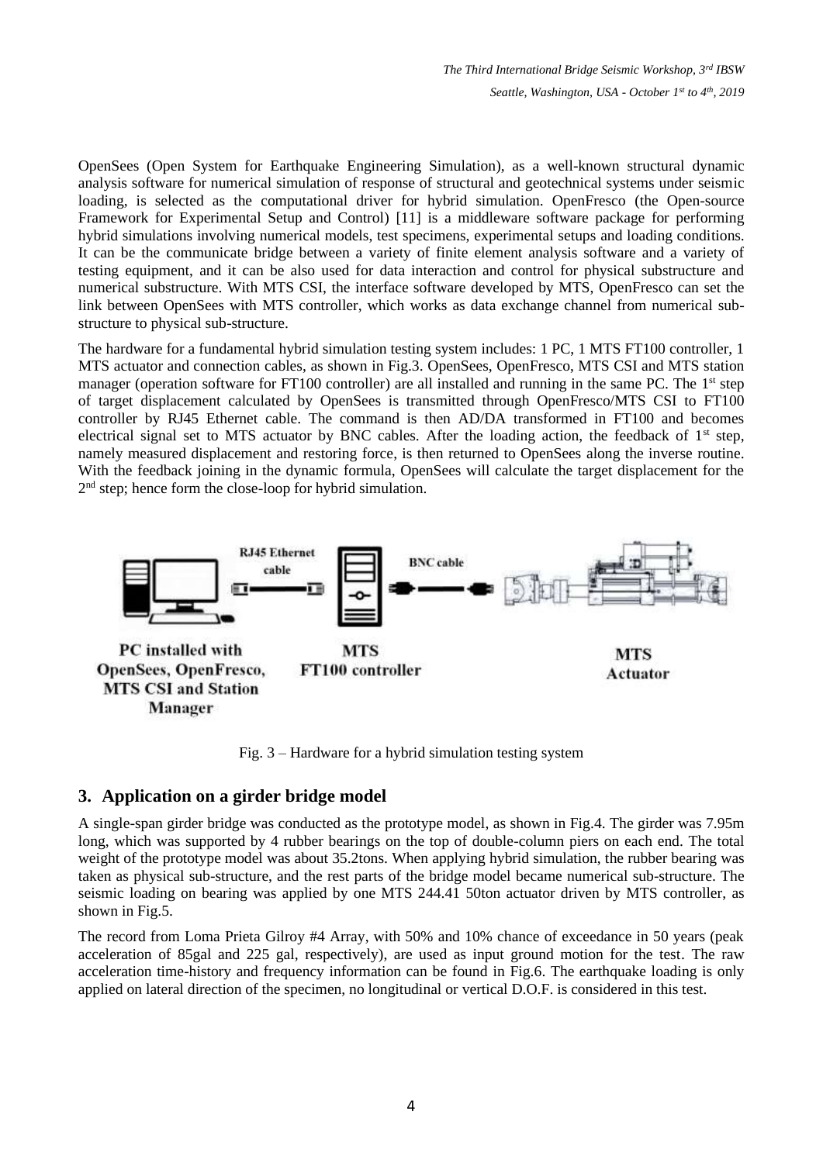OpenSees (Open System for Earthquake Engineering Simulation), as a well-known structural dynamic analysis software for numerical simulation of response of structural and geotechnical systems under seismic loading, is selected as the computational driver for hybrid simulation. OpenFresco (the Open-source Framework for Experimental Setup and Control) [11] is a middleware software package for performing hybrid simulations involving numerical models, test specimens, experimental setups and loading conditions. It can be the communicate bridge between a variety of finite element analysis software and a variety of testing equipment, and it can be also used for data interaction and control for physical substructure and numerical substructure. With MTS CSI, the interface software developed by MTS, OpenFresco can set the link between OpenSees with MTS controller, which works as data exchange channel from numerical substructure to physical sub-structure.

The hardware for a fundamental hybrid simulation testing system includes: 1 PC, 1 MTS FT100 controller, 1 MTS actuator and connection cables, as shown in Fig.3. OpenSees, OpenFresco, MTS CSI and MTS station manager (operation software for FT100 controller) are all installed and running in the same PC. The 1<sup>st</sup> step of target displacement calculated by OpenSees is transmitted through OpenFresco/MTS CSI to FT100 controller by RJ45 Ethernet cable. The command is then AD/DA transformed in FT100 and becomes electrical signal set to MTS actuator by BNC cables. After the loading action, the feedback of  $1<sup>st</sup>$  step, namely measured displacement and restoring force, is then returned to OpenSees along the inverse routine. With the feedback joining in the dynamic formula, OpenSees will calculate the target displacement for the 2<sup>nd</sup> step; hence form the close-loop for hybrid simulation.



Fig. 3 – Hardware for a hybrid simulation testing system

#### **3. Application on a girder bridge model**

A single-span girder bridge was conducted as the prototype model, as shown in Fig.4. The girder was 7.95m long, which was supported by 4 rubber bearings on the top of double-column piers on each end. The total weight of the prototype model was about 35.2tons. When applying hybrid simulation, the rubber bearing was taken as physical sub-structure, and the rest parts of the bridge model became numerical sub-structure. The seismic loading on bearing was applied by one MTS 244.41 50ton actuator driven by MTS controller, as shown in Fig.5.

The record from Loma Prieta Gilroy #4 Array, with 50% and 10% chance of exceedance in 50 years (peak acceleration of 85gal and 225 gal, respectively), are used as input ground motion for the test. The raw acceleration time-history and frequency information can be found in Fig.6. The earthquake loading is only applied on lateral direction of the specimen, no longitudinal or vertical D.O.F. is considered in this test.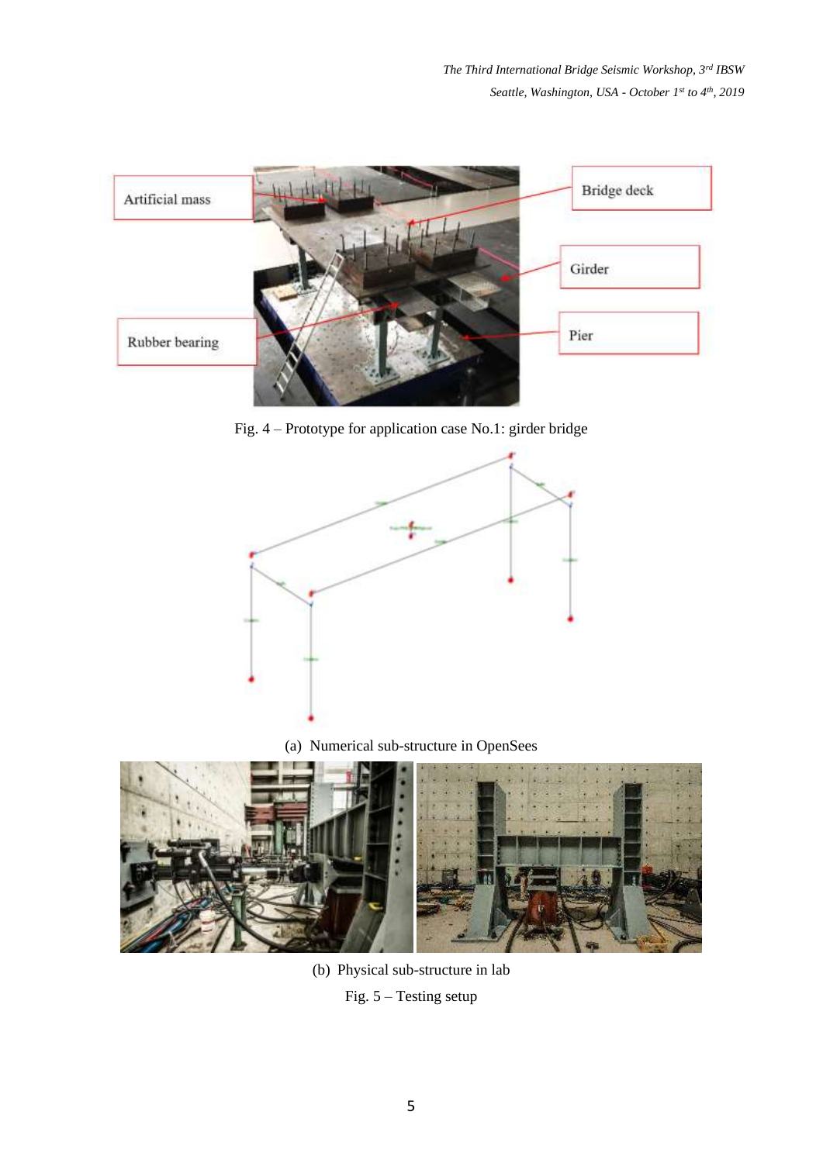

Fig. 4 – Prototype for application case No.1: girder bridge



(a) Numerical sub-structure in OpenSees



(b) Physical sub-structure in lab Fig. 5 – Testing setup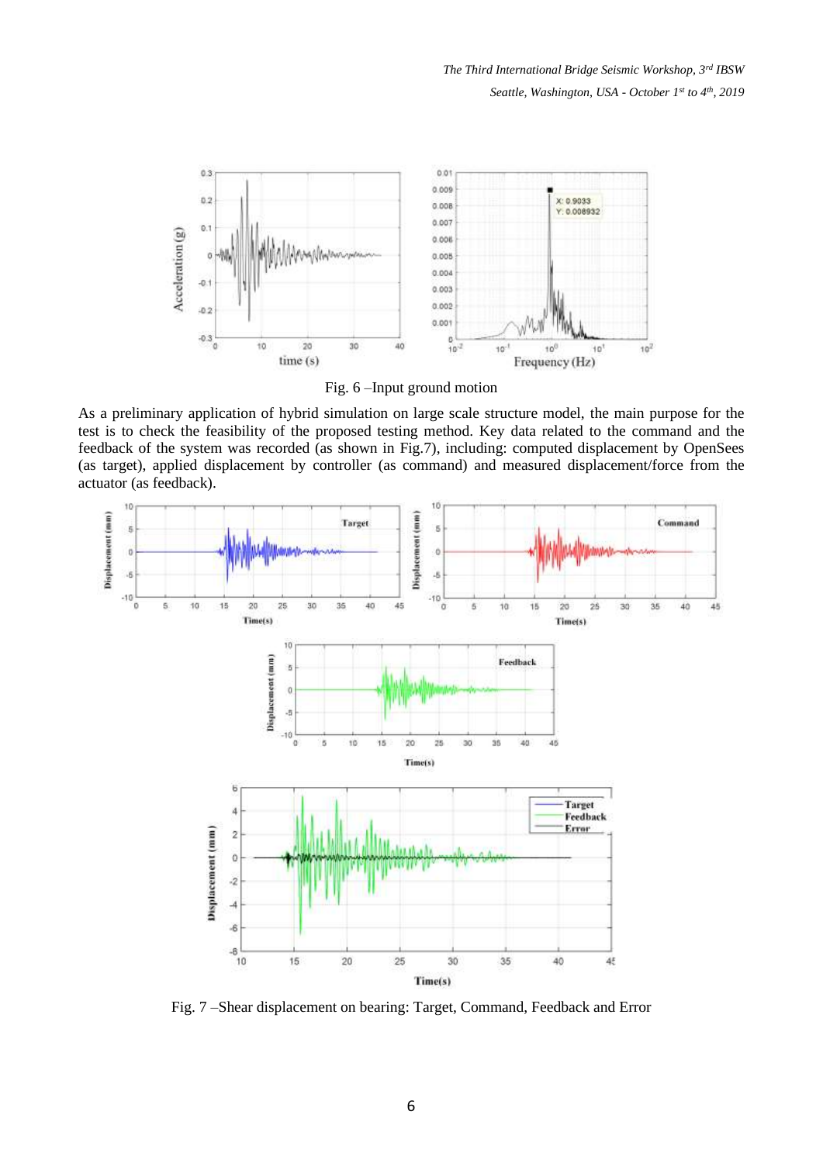

Fig. 6 –Input ground motion

As a preliminary application of hybrid simulation on large scale structure model, the main purpose for the test is to check the feasibility of the proposed testing method. Key data related to the command and the feedback of the system was recorded (as shown in Fig.7), including: computed displacement by OpenSees (as target), applied displacement by controller (as command) and measured displacement/force from the actuator (as feedback).



Fig. 7 –Shear displacement on bearing: Target, Command, Feedback and Error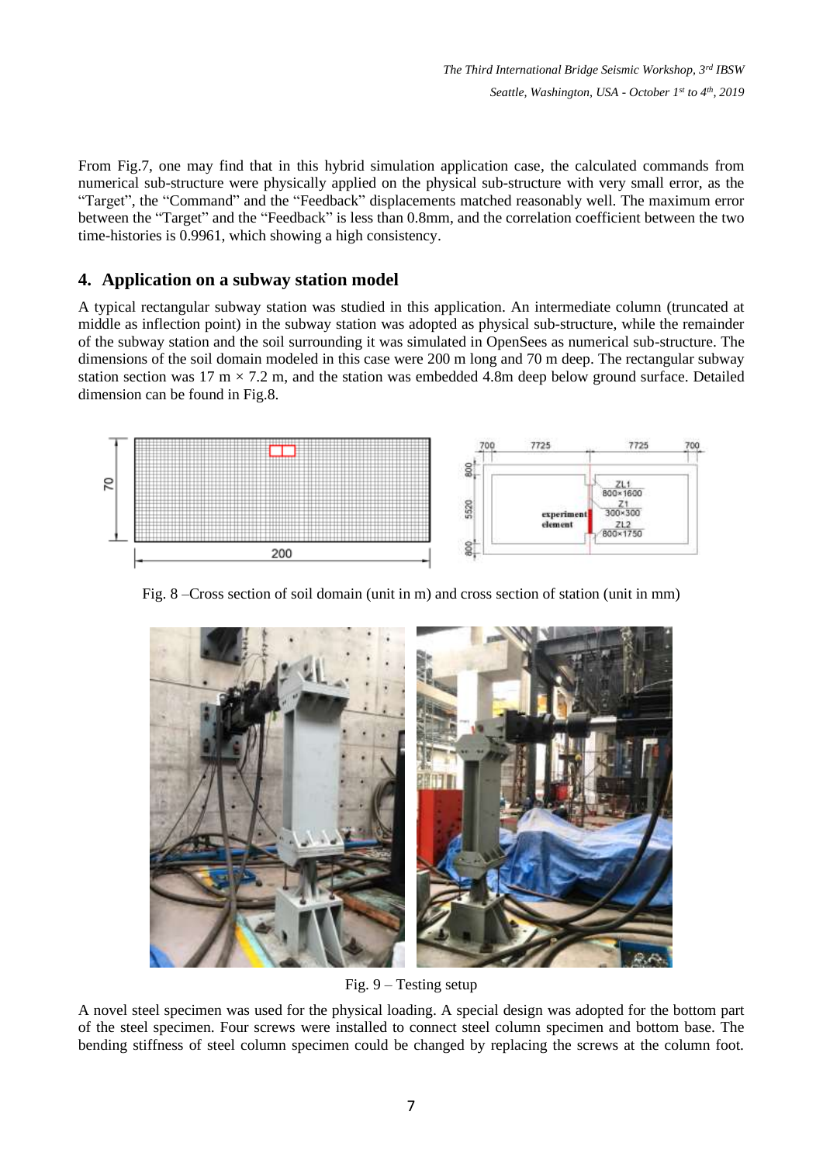From Fig.7, one may find that in this hybrid simulation application case, the calculated commands from numerical sub-structure were physically applied on the physical sub-structure with very small error, as the "Target", the "Command" and the "Feedback" displacements matched reasonably well. The maximum error between the "Target" and the "Feedback" is less than 0.8mm, and the correlation coefficient between the two time-histories is 0.9961, which showing a high consistency.

## **4. Application on a subway station model**

A typical rectangular subway station was studied in this application. An intermediate column (truncated at middle as inflection point) in the subway station was adopted as physical sub-structure, while the remainder of the subway station and the soil surrounding it was simulated in OpenSees as numerical sub-structure. The dimensions of the soil domain modeled in this case were 200 m long and 70 m deep. The rectangular subway station section was 17 m  $\times$  7.2 m, and the station was embedded 4.8m deep below ground surface. Detailed dimension can be found in Fig.8.



Fig. 8 –Cross section of soil domain (unit in m) and cross section of station (unit in mm)



Fig. 9 – Testing setup

A novel steel specimen was used for the physical loading. A special design was adopted for the bottom part of the steel specimen. Four screws were installed to connect steel column specimen and bottom base. The bending stiffness of steel column specimen could be changed by replacing the screws at the column foot.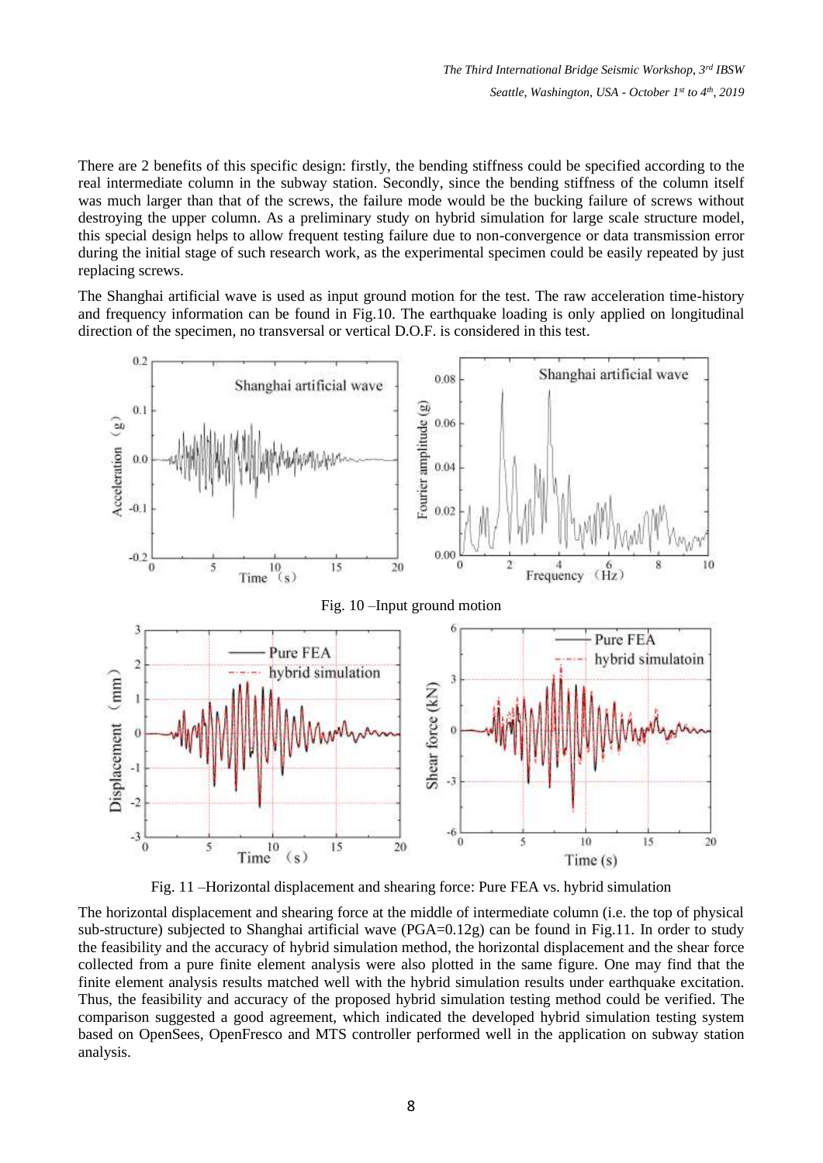There are 2 benefits of this specific design: firstly, the bending stiffness could be specified according to the real intermediate column in the subway station. Secondly, since the bending stiffness of the column itself was much larger than that of the screws, the failure mode would be the bucking failure of screws without destroying the upper column. As a preliminary study on hybrid simulation for large scale structure model, this special design helps to allow frequent testing failure due to non-convergence or data transmission error during the initial stage of such research work, as the experimental specimen could be easily repeated by just replacing screws.

The Shanghai artificial wave is used as input ground motion for the test. The raw acceleration time-history and frequency information can be found in Fig.10. The earthquake loading is only applied on longitudinal direction of the specimen, no transversal or vertical D.O.F. is considered in this test.



Fig. 11 –Horizontal displacement and shearing force: Pure FEA vs. hybrid simulation

The horizontal displacement and shearing force at the middle of intermediate column (i.e. the top of physical sub-structure) subjected to Shanghai artificial wave (PGA=0.12g) can be found in Fig.11. In order to study the feasibility and the accuracy of hybrid simulation method, the horizontal displacement and the shear force collected from a pure finite element analysis were also plotted in the same figure. One may find that the finite element analysis results matched well with the hybrid simulation results under earthquake excitation. Thus, the feasibility and accuracy of the proposed hybrid simulation testing method could be verified. The comparison suggested a good agreement, which indicated the developed hybrid simulation testing system based on OpenSees, OpenFresco and MTS controller performed well in the application on subway station analysis.